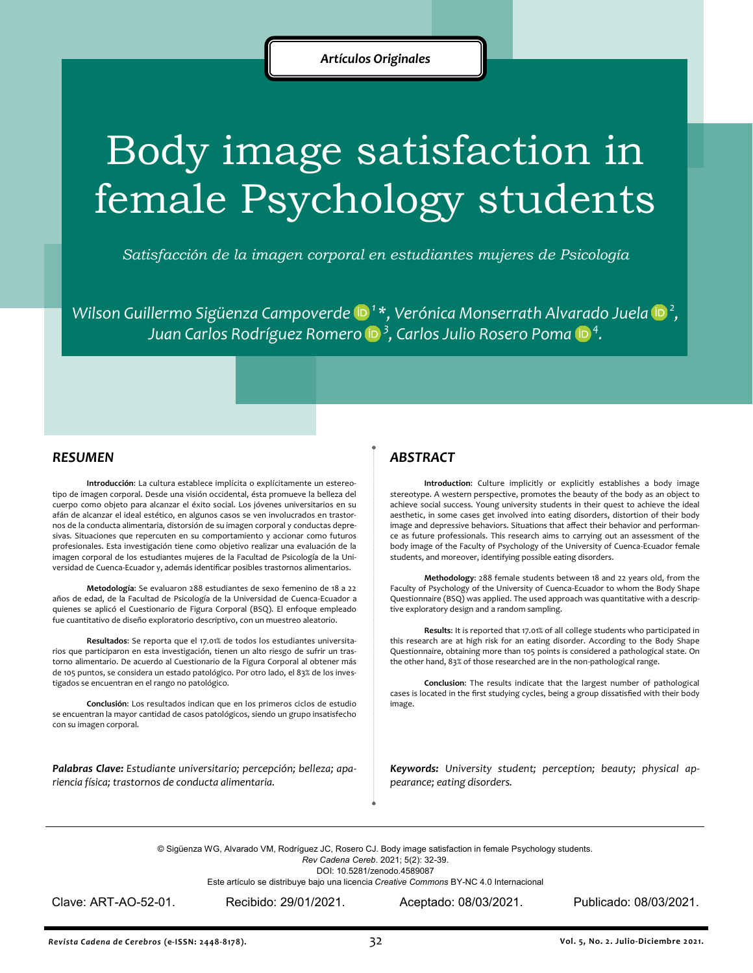# Body image satisfaction in female Psychology students

*Satisfacción de la imagen corporal en estudiantes mujeres de Psicología*

*Wilson Guillermo Sigüenza Campoverde<sup>1</sup>\*, Verónica Monserrath Alvarado Juela<sup>2</sup> , Juan Carlos Rodríguez Romero<sup>3</sup> , Carlos Julio Rosero Poma<sup>4</sup> .*

#### *RESUMEN*

**Introducción**: La cultura establece implícita o explícitamente un estereotipo de imagen corporal. Desde una visión occidental, ésta promueve la belleza del cuerpo como objeto para alcanzar el éxito social. Los jóvenes universitarios en su afán de alcanzar el ideal estético, en algunos casos se ven involucrados en trastornos de la conducta alimentaria, distorsión de su imagen corporal y conductas depresivas. Situaciones que repercuten en su comportamiento y accionar como futuros profesionales. Esta investigación tiene como objetivo realizar una evaluación de la imagen corporal de los estudiantes mujeres de la Facultad de Psicología de la Universidad de Cuenca-Ecuador y, además identificar posibles trastornos alimentarios.

**Metodología**: Se evaluaron 288 estudiantes de sexo femenino de 18 a 22 años de edad, de la Facultad de Psicología de la Universidad de Cuenca-Ecuador a quienes se aplicó el Cuestionario de Figura Corporal (BSQ). El enfoque empleado fue cuantitativo de diseño exploratorio descriptivo, con un muestreo aleatorio.

**Resultados**: Se reporta que el 17.01% de todos los estudiantes universitarios que participaron en esta investigación, tienen un alto riesgo de sufrir un trastorno alimentario. De acuerdo al Cuestionario de la Figura Corporal al obtener más de 105 puntos, se considera un estado patológico. Por otro lado, el 83% de los investigados se encuentran en el rango no patológico.

**Conclusión**: Los resultados indican que en los primeros ciclos de estudio se encuentran la mayor cantidad de casos patológicos, siendo un grupo insatisfecho con su imagen corporal.

*Palabras Clave: Estudiante universitario; percepción; belleza; apariencia física; trastornos de conducta alimentaria.*

## *ABSTRACT*

**Introduction**: Culture implicitly or explicitly establishes a body image stereotype. A western perspective, promotes the beauty of the body as an object to achieve social success. Young university students in their quest to achieve the ideal aesthetic, in some cases get involved into eating disorders, distortion of their body image and depressive behaviors. Situations that affect their behavior and performance as future professionals. This research aims to carrying out an assessment of the body image of the Faculty of Psychology of the University of Cuenca-Ecuador female students, and moreover, identifying possible eating disorders.

**Methodology**: 288 female students between 18 and 22 years old, from the Faculty of Psychology of the University of Cuenca-Ecuador to whom the Body Shape Questionnaire (BSQ) was applied. The used approach was quantitative with a descriptive exploratory design and a random sampling.

**Results**: It is reported that 17.01% of all college students who participated in this research are at high risk for an eating disorder. According to the Body Shape Questionnaire, obtaining more than 105 points is considered a pathological state. On the other hand, 83% of those researched are in the non-pathological range.

**Conclusion**: The results indicate that the largest number of pathological cases is located in the first studying cycles, being a group dissatisfied with their body image.

*Keywords: University student; perception; beauty; physical appearance; eating disorders.*

© Sigüenza WG, Alvarado VM, Rodríguez JC, Rosero CJ. Body image satisfaction in female Psychology students.

*Rev Cadena Cereb*. 2021; 5(2): 32-39.

DOI: 10.5281/zenodo.4589087

Este artículo se distribuye bajo una licencia *Creative Commons* BY-NC 4.0 Internacional

Clave: ART-AO-52-01. Recibido: 29/01/2021. Aceptado: 08/03/2021. Publicado: 08/03/2021.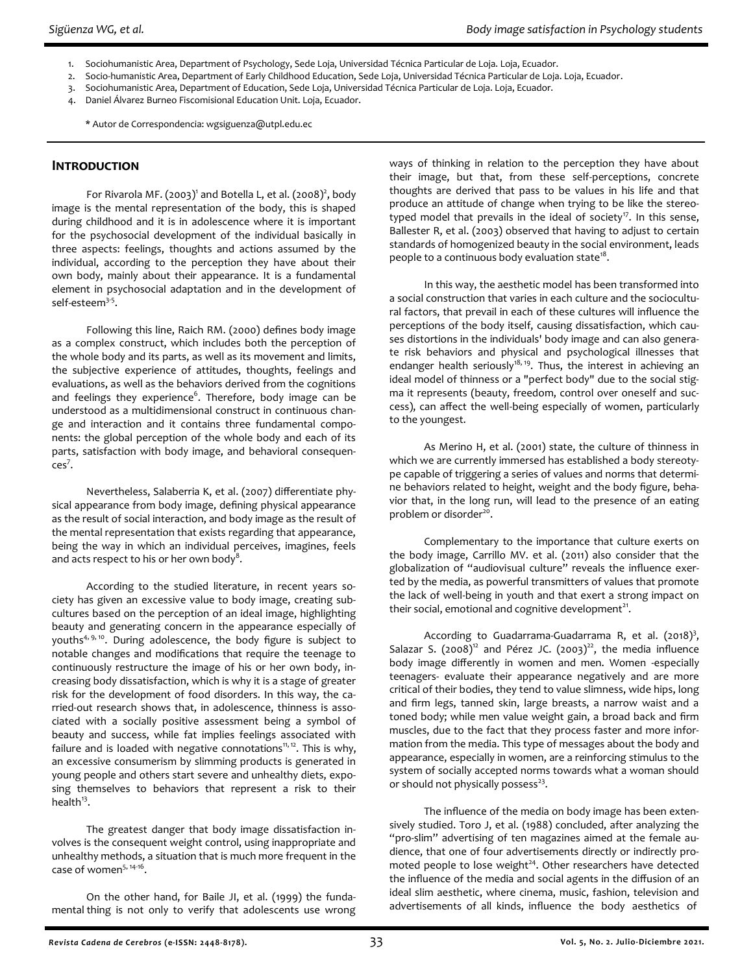- 1. Sociohumanistic Area, Department of Psychology, Sede Loja, Universidad Técnica Particular de Loja. Loja, Ecuador.
- 2. Socio-humanistic Area, Department of Early Childhood Education, Sede Loja, Universidad Técnica Particular de Loja. Loja, Ecuador.
- 3. Sociohumanistic Area, Department of Education, Sede Loja, Universidad Técnica Particular de Loja. Loja, Ecuador.
- 4. Daniel Álvarez Burneo Fiscomisional Education Unit. Loja, Ecuador.
	- \* Autor de Correspondencia: wgsiguenza@utpl.edu.ec

# **Introduction**

For Rivarola MF.  $(2003)^1$  and Botella L, et al.  $(2008)^2$ , body image is the mental representation of the body, this is shaped during childhood and it is in adolescence where it is important for the psychosocial development of the individual basically in three aspects: feelings, thoughts and actions assumed by the individual, according to the perception they have about their own body, mainly about their appearance. It is a fundamental element in psychosocial adaptation and in the development of self-esteem<sup>3-5</sup>.

Following this line, Raich RM. (2000) defines body image as a complex construct, which includes both the perception of the whole body and its parts, as well as its movement and limits, the subjective experience of attitudes, thoughts, feelings and evaluations, as well as the behaviors derived from the cognitions and feelings they experience<sup>6</sup>. Therefore, body image can be understood as a multidimensional construct in continuous change and interaction and it contains three fundamental components: the global perception of the whole body and each of its parts, satisfaction with body image, and behavioral consequen $ces<sup>7</sup>$ .

Nevertheless, Salaberria K, et al. (2007) differentiate physical appearance from body image, defining physical appearance as the result of social interaction, and body image as the result of the mental representation that exists regarding that appearance, being the way in which an individual perceives, imagines, feels and acts respect to his or her own body $^8\!\!$  .

According to the studied literature, in recent years society has given an excessive value to body image, creating subcultures based on the perception of an ideal image, highlighting beauty and generating concern in the appearance especially of youths<sup>4, 9, 10</sup>. During adolescence, the body figure is subject to notable changes and modifications that require the teenage to continuously restructure the image of his or her own body, increasing body dissatisfaction, which is why it is a stage of greater risk for the development of food disorders. In this way, the carried-out research shows that, in adolescence, thinness is associated with a socially positive assessment being a symbol of beauty and success, while fat implies feelings associated with failure and is loaded with negative connotations<sup>11, 12</sup>. This is why, an excessive consumerism by slimming products is generated in young people and others start severe and unhealthy diets, exposing themselves to behaviors that represent a risk to their health $^{13}$ .

The greatest danger that body image dissatisfaction involves is the consequent weight control, using inappropriate and unhealthy methods, a situation that is much more frequent in the case of women<sup>5, 14-16</sup>.

On the other hand, for Baile JI, et al. (1999) the fundamental thing is not only to verify that adolescents use wrong ways of thinking in relation to the perception they have about their image, but that, from these self-perceptions, concrete thoughts are derived that pass to be values in his life and that produce an attitude of change when trying to be like the stereotyped model that prevails in the ideal of society<sup>17</sup>. In this sense, Ballester R, et al. (2003) observed that having to adjust to certain standards of homogenized beauty in the social environment, leads people to a continuous body evaluation state $^{18}$ .

In this way, the aesthetic model has been transformed into a social construction that varies in each culture and the sociocultural factors, that prevail in each of these cultures will influence the perceptions of the body itself, causing dissatisfaction, which causes distortions in the individuals' body image and can also generate risk behaviors and physical and psychological illnesses that endanger health seriously<sup>18, 19</sup>. Thus, the interest in achieving an ideal model of thinness or a "perfect body" due to the social stigma it represents (beauty, freedom, control over oneself and success), can affect the well-being especially of women, particularly to the youngest.

As Merino H, et al. (2001) state, the culture of thinness in which we are currently immersed has established a body stereotype capable of triggering a series of values and norms that determine behaviors related to height, weight and the body figure, behavior that, in the long run, will lead to the presence of an eating problem or disorder<sup>20</sup>.

Complementary to the importance that culture exerts on the body image, Carrillo MV. et al. (2011) also consider that the globalization of "audiovisual culture" reveals the influence exerted by the media, as powerful transmitters of values that promote the lack of well-being in youth and that exert a strong impact on their social, emotional and cognitive development<sup>21</sup>.

According to Guadarrama-Guadarrama R, et al.  $(2018)^3$ , Salazar S.  $(2008)^{12}$  and Pérez JC.  $(2003)^{22}$ , the media influence body image differently in women and men. Women -especially teenagers- evaluate their appearance negatively and are more critical of their bodies, they tend to value slimness, wide hips, long and firm legs, tanned skin, large breasts, a narrow waist and a toned body; while men value weight gain, a broad back and firm muscles, due to the fact that they process faster and more information from the media. This type of messages about the body and appearance, especially in women, are a reinforcing stimulus to the system of socially accepted norms towards what a woman should or should not physically possess<sup>23</sup>.

The influence of the media on body image has been extensively studied. Toro J, et al. (1988) concluded, after analyzing the "pro-slim" advertising of ten magazines aimed at the female audience, that one of four advertisements directly or indirectly promoted people to lose weight $24$ . Other researchers have detected the influence of the media and social agents in the diffusion of an ideal slim aesthetic, where cinema, music, fashion, television and advertisements of all kinds, influence the body aesthetics of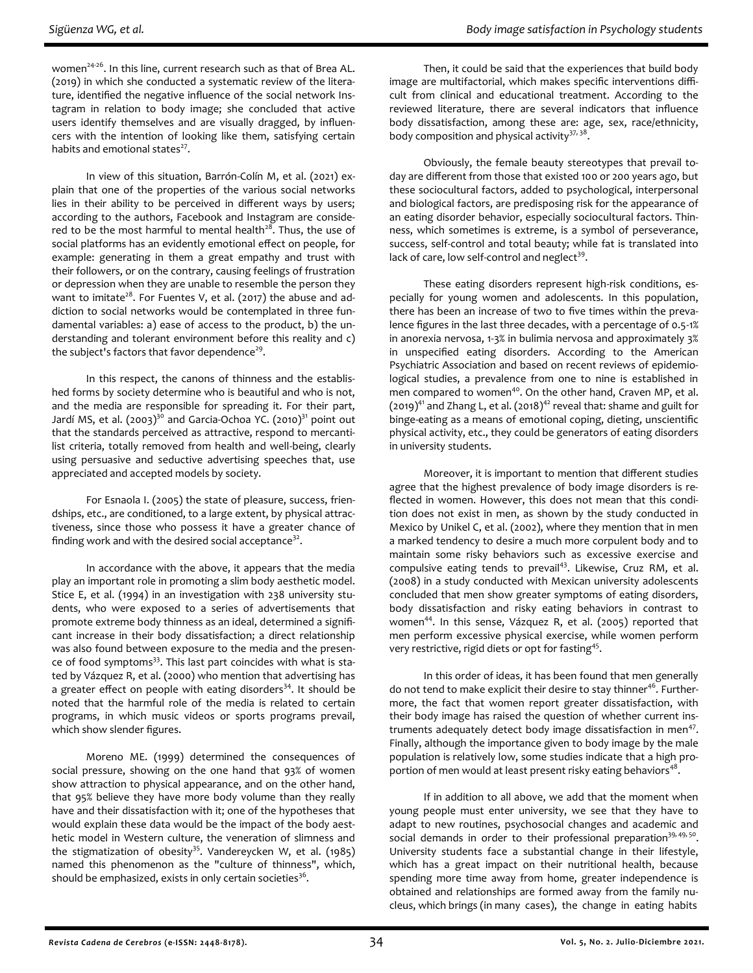women<sup>24-26</sup>. In this line, current research such as that of Brea AL. (2019) in which she conducted a systematic review of the literature, identified the negative influence of the social network Instagram in relation to body image; she concluded that active users identify themselves and are visually dragged, by influencers with the intention of looking like them, satisfying certain habits and emotional states<sup>27</sup>.

In view of this situation, Barrón-Colín M, et al. (2021) explain that one of the properties of the various social networks lies in their ability to be perceived in different ways by users; according to the authors, Facebook and Instagram are considered to be the most harmful to mental health<sup>28</sup>. Thus, the use of social platforms has an evidently emotional effect on people, for example: generating in them a great empathy and trust with their followers, or on the contrary, causing feelings of frustration or depression when they are unable to resemble the person they want to imitate<sup>28</sup>. For Fuentes V, et al. (2017) the abuse and addiction to social networks would be contemplated in three fundamental variables: a) ease of access to the product, b) the understanding and tolerant environment before this reality and c) the subject's factors that favor dependence<sup>29</sup>.

In this respect, the canons of thinness and the established forms by society determine who is beautiful and who is not, and the media are responsible for spreading it. For their part, Jardí MS, et al.  $(2003)^{30}$  and Garcia-Ochoa YC.  $(2010)^{31}$  point out that the standards perceived as attractive, respond to mercantilist criteria, totally removed from health and well-being, clearly using persuasive and seductive advertising speeches that, use appreciated and accepted models by society.

For Esnaola I. (2005) the state of pleasure, success, friendships, etc., are conditioned, to a large extent, by physical attractiveness, since those who possess it have a greater chance of finding work and with the desired social acceptance $^{32}$ .

In accordance with the above, it appears that the media play an important role in promoting a slim body aesthetic model. Stice E, et al. (1994) in an investigation with 238 university students, who were exposed to a series of advertisements that promote extreme body thinness as an ideal, determined a significant increase in their body dissatisfaction; a direct relationship was also found between exposure to the media and the presence of food symptoms<sup>33</sup>. This last part coincides with what is stated by Vázquez R, et al. (2000) who mention that advertising has a greater effect on people with eating disorders $34$ . It should be noted that the harmful role of the media is related to certain programs, in which music videos or sports programs prevail, which show slender figures.

Moreno ME. (1999) determined the consequences of social pressure, showing on the one hand that 93% of women show attraction to physical appearance, and on the other hand, that 95% believe they have more body volume than they really have and their dissatisfaction with it; one of the hypotheses that would explain these data would be the impact of the body aesthetic model in Western culture, the veneration of slimness and the stigmatization of obesity<sup>35</sup>. Vandereycken W, et al. (1985) named this phenomenon as the "culture of thinness", which, should be emphasized, exists in only certain societies $^{\text{36}}$ .

Then, it could be said that the experiences that build body image are multifactorial, which makes specific interventions difficult from clinical and educational treatment. According to the reviewed literature, there are several indicators that influence body dissatisfaction, among these are: age, sex, race/ethnicity, body composition and physical activity<sup>37, 38</sup>.

Obviously, the female beauty stereotypes that prevail today are different from those that existed 100 or 200 years ago, but these sociocultural factors, added to psychological, interpersonal and biological factors, are predisposing risk for the appearance of an eating disorder behavior, especially sociocultural factors. Thinness, which sometimes is extreme, is a symbol of perseverance, success, self-control and total beauty; while fat is translated into lack of care, low self-control and neglect<sup>39</sup>.

These eating disorders represent high-risk conditions, especially for young women and adolescents. In this population, there has been an increase of two to five times within the prevalence figures in the last three decades, with a percentage of 0.5-1% in anorexia nervosa, 1-3% in bulimia nervosa and approximately 3% in unspecified eating disorders. According to the American Psychiatric Association and based on recent reviews of epidemiological studies, a prevalence from one to nine is established in men compared to women<sup>40</sup>. On the other hand, Craven MP, et al.  $(2019)^{41}$  and Zhang L, et al.  $(2018)^{42}$  reveal that: shame and guilt for binge-eating as a means of emotional coping, dieting, unscientific physical activity, etc., they could be generators of eating disorders in university students.

Moreover, it is important to mention that different studies agree that the highest prevalence of body image disorders is reflected in women. However, this does not mean that this condition does not exist in men, as shown by the study conducted in Mexico by Unikel C, et al. (2002), where they mention that in men a marked tendency to desire a much more corpulent body and to maintain some risky behaviors such as excessive exercise and compulsive eating tends to prevail<sup>43</sup>. Likewise, Cruz RM, et al. (2008) in a study conducted with Mexican university adolescents concluded that men show greater symptoms of eating disorders, body dissatisfaction and risky eating behaviors in contrast to women<sup>44</sup>. In this sense, Vázquez R, et al. (2005) reported that men perform excessive physical exercise, while women perform very restrictive, rigid diets or opt for fasting<sup>45</sup>.

In this order of ideas, it has been found that men generally do not tend to make explicit their desire to stay thinner<sup>46</sup>. Furthermore, the fact that women report greater dissatisfaction, with their body image has raised the question of whether current instruments adequately detect body image dissatisfaction in men<sup>47</sup>. Finally, although the importance given to body image by the male population is relatively low, some studies indicate that a high proportion of men would at least present risky eating behaviors $^{48}$ .

If in addition to all above, we add that the moment when young people must enter university, we see that they have to adapt to new routines, psychosocial changes and academic and social demands in order to their professional preparation $39, 49, 50$ . University students face a substantial change in their lifestyle, which has a great impact on their nutritional health, because spending more time away from home, greater independence is obtained and relationships are formed away from the family nucleus, which brings (in many cases), the change in eating habits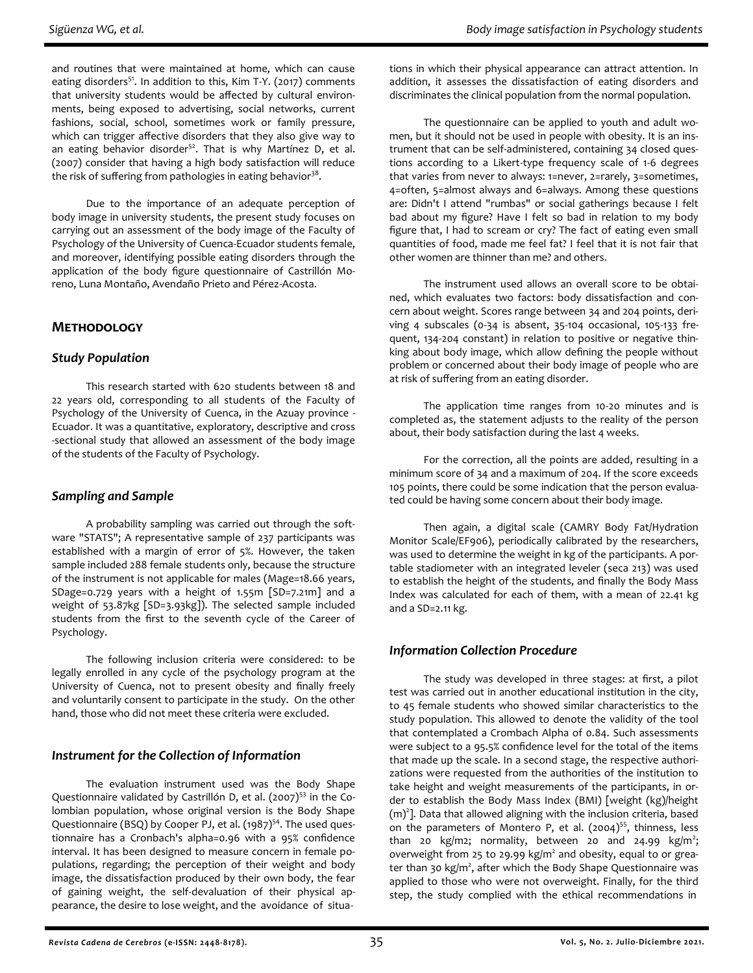and routines that were maintained at home, which can cause eating disorders<sup>51</sup>. In addition to this, Kim T-Y. (2017) comments that university students would be affected by cultural environments, being exposed to advertising, social networks, current fashions, social, school, sometimes work or family pressure, which can trigger affective disorders that they also give way to an eating behavior disorder<sup>52</sup>. That is why Martínez D, et al. (2007) consider that having a high body satisfaction will reduce the risk of suffering from pathologies in eating behavior $^{38}\cdot$ 

Due to the importance of an adequate perception of body image in university students, the present study focuses on carrying out an assessment of the body image of the Faculty of Psychology of the University of Cuenca-Ecuador students female, and moreover, identifying possible eating disorders through the application of the body figure questionnaire of Castrillón Moreno, Luna Montaño, Avendaño Prieto and Pérez-Acosta.

## **Methodology**

## *Study Population*

This research started with 620 students between 18 and 22 years old, corresponding to all students of the Faculty of Psychology of the University of Cuenca, in the Azuay province - Ecuador. It was a quantitative, exploratory, descriptive and cross -sectional study that allowed an assessment of the body image of the students of the Faculty of Psychology.

## *Sampling and Sample*

A probability sampling was carried out through the software "STATS"; A representative sample of 237 participants was established with a margin of error of 5%. However, the taken sample included 288 female students only, because the structure of the instrument is not applicable for males (Mage=18.66 years, SDage=0.729 years with a height of 1.55m [SD=7.21m] and a weight of 53.87kg [SD=3.93kg]). The selected sample included students from the first to the seventh cycle of the Career of Psychology.

The following inclusion criteria were considered: to be legally enrolled in any cycle of the psychology program at the University of Cuenca, not to present obesity and finally freely and voluntarily consent to participate in the study. On the other hand, those who did not meet these criteria were excluded.

## *Instrument for the Collection of Information*

The evaluation instrument used was the Body Shape Questionnaire validated by Castrillón D, et al. (2007)<sup>53</sup> in the Colombian population, whose original version is the Body Shape Questionnaire (BSQ) by Cooper PJ, et al. (1987)<sup>54</sup>. The used questionnaire has a Cronbach's alpha=0.96 with a 95% confidence interval. It has been designed to measure concern in female populations, regarding; the perception of their weight and body image, the dissatisfaction produced by their own body, the fear of gaining weight, the self-devaluation of their physical appearance, the desire to lose weight, and the avoidance of situa-

tions in which their physical appearance can attract attention. In addition, it assesses the dissatisfaction of eating disorders and discriminates the clinical population from the normal population.

The questionnaire can be applied to youth and adult women, but it should not be used in people with obesity. It is an instrument that can be self-administered, containing 34 closed questions according to a Likert-type frequency scale of 1-6 degrees that varies from never to always: 1=never, 2=rarely, 3=sometimes, 4=often, 5=almost always and 6=always. Among these questions are: Didn't I attend "rumbas" or social gatherings because I felt bad about my figure? Have I felt so bad in relation to my body figure that, I had to scream or cry? The fact of eating even small quantities of food, made me feel fat? I feel that it is not fair that other women are thinner than me? and others.

The instrument used allows an overall score to be obtained, which evaluates two factors: body dissatisfaction and concern about weight. Scores range between 34 and 204 points, deriving 4 subscales (0-34 is absent, 35-104 occasional, 105-133 frequent, 134-204 constant) in relation to positive or negative thinking about body image, which allow defining the people without problem or concerned about their body image of people who are at risk of suffering from an eating disorder.

The application time ranges from 10-20 minutes and is completed as, the statement adjusts to the reality of the person about, their body satisfaction during the last 4 weeks.

For the correction, all the points are added, resulting in a minimum score of 34 and a maximum of 204. If the score exceeds 105 points, there could be some indication that the person evaluated could be having some concern about their body image.

Then again, a digital scale (CAMRY Body Fat/Hydration Monitor Scale/EF906), periodically calibrated by the researchers, was used to determine the weight in kg of the participants. A portable stadiometer with an integrated leveler (seca 213) was used to establish the height of the students, and finally the Body Mass Index was calculated for each of them, with a mean of 22.41 kg and a SD=2.11 kg.

# *Information Collection Procedure*

The study was developed in three stages: at first, a pilot test was carried out in another educational institution in the city, to 45 female students who showed similar characteristics to the study population. This allowed to denote the validity of the tool that contemplated a Crombach Alpha of 0.84. Such assessments were subject to a 95.5% confidence level for the total of the items that made up the scale. In a second stage, the respective authorizations were requested from the authorities of the institution to take height and weight measurements of the participants, in order to establish the Body Mass Index (BMI) [weight (kg)/height  $(m)^2$ ]. Data that allowed aligning with the inclusion criteria, based on the parameters of Montero P, et al.  $(2004)^{55}$ , thinness, less than 20  $kg/m2$ ; normality, between 20 and 24.99  $kg/m^2$ ; overweight from 25 to 29.99 kg/m<sup>2</sup> and obesity, equal to or greater than 30 kg/m<sup>2</sup>, after which the Body Shape Questionnaire was applied to those who were not overweight. Finally, for the third step, the study complied with the ethical recommendations in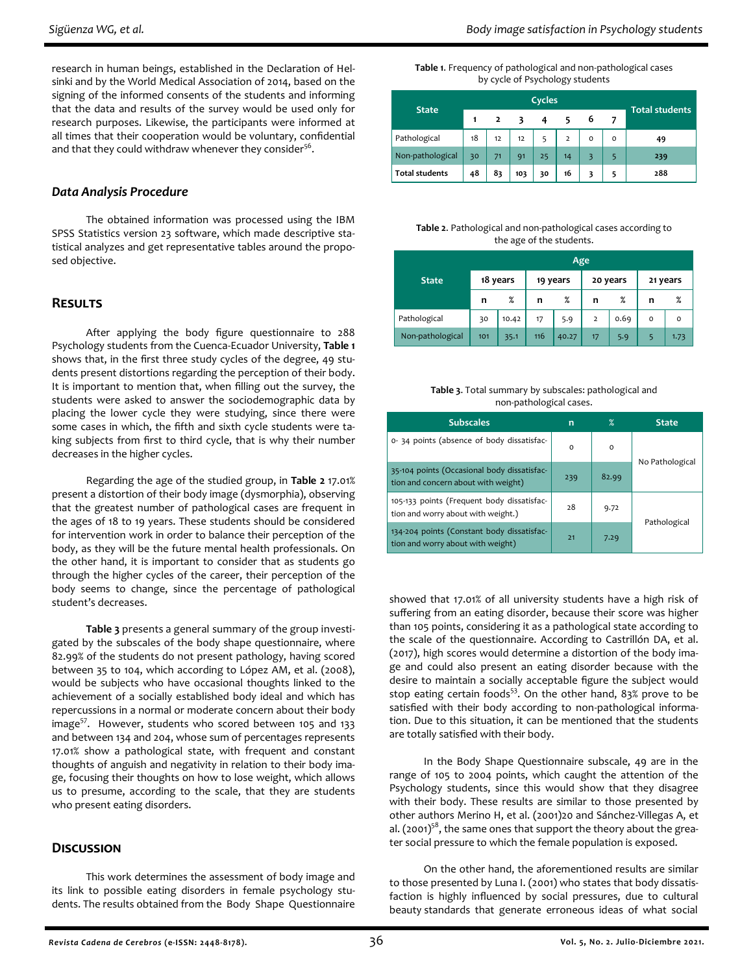research in human beings, established in the Declaration of Helsinki and by the World Medical Association of 2014, based on the signing of the informed consents of the students and informing that the data and results of the survey would be used only for research purposes. Likewise, the participants were informed at all times that their cooperation would be voluntary, confidential and that they could withdraw whenever they consider $56$ .

#### *Data Analysis Procedure*

The obtained information was processed using the IBM SPSS Statistics version 23 software, which made descriptive statistical analyzes and get representative tables around the proposed objective.

#### **Results**

After applying the body figure questionnaire to 288 Psychology students from the Cuenca-Ecuador University, **Table 1** shows that, in the first three study cycles of the degree, 49 students present distortions regarding the perception of their body. It is important to mention that, when filling out the survey, the students were asked to answer the sociodemographic data by placing the lower cycle they were studying, since there were some cases in which, the fifth and sixth cycle students were taking subjects from first to third cycle, that is why their number decreases in the higher cycles.

Regarding the age of the studied group, in **Table 2** 17.01% present a distortion of their body image (dysmorphia), observing that the greatest number of pathological cases are frequent in the ages of 18 to 19 years. These students should be considered for intervention work in order to balance their perception of the body, as they will be the future mental health professionals. On the other hand, it is important to consider that as students go through the higher cycles of the career, their perception of the body seems to change, since the percentage of pathological student's decreases.

**Table 3** presents a general summary of the group investigated by the subscales of the body shape questionnaire, where 82.99% of the students do not present pathology, having scored between 35 to 104, which according to López AM, et al. (2008), would be subjects who have occasional thoughts linked to the achievement of a socially established body ideal and which has repercussions in a normal or moderate concern about their body image<sup>57</sup>. However, students who scored between 105 and 133 and between 134 and 204, whose sum of percentages represents 17.01% show a pathological state, with frequent and constant thoughts of anguish and negativity in relation to their body image, focusing their thoughts on how to lose weight, which allows us to presume, according to the scale, that they are students who present eating disorders.

## **Discussion**

This work determines the assessment of body image and its link to possible eating disorders in female psychology students. The results obtained from the Body Shape Questionnaire

#### **Table 1**. Frequency of pathological and non-pathological cases by cycle of Psychology students

| <b>State</b>          | Cycles |    |     |    |                |   |   | <b>Total students</b> |  |
|-----------------------|--------|----|-----|----|----------------|---|---|-----------------------|--|
|                       |        | 2  |     |    |                | 6 |   |                       |  |
| Pathological          | 18     | 12 | 12  |    | $\overline{2}$ | o | o | 49                    |  |
| Non-pathological      | 30     | 71 | 91  | 25 | 14             |   |   | 239                   |  |
| <b>Total students</b> | 48     | 83 | 103 | 30 | 16             |   |   | 288                   |  |

#### **Table 2**. Pathological and non-pathological cases according to the age of the students.

|                  |          | Age   |     |          |                |          |          |          |
|------------------|----------|-------|-----|----------|----------------|----------|----------|----------|
| <b>State</b>     | 18 years |       |     | 19 years |                | 20 years | 21 years |          |
|                  | n        | %     | n   | %        | n              | %        | n        | %        |
| Pathological     | 30       | 10.42 | 17  | 5.9      | $\overline{2}$ | 0.69     | $\circ$  | $\Omega$ |
| Non-pathological | 101      | 35.1  | 116 | 40.27    | 17             | 5.9      | 5        | 1.73     |

| Table 3. Total summary by subscales: pathological and |
|-------------------------------------------------------|
| non-pathological cases.                               |

| <b>Subscales</b>                                                                   | n        | $\%$     | <b>State</b>    |  |
|------------------------------------------------------------------------------------|----------|----------|-----------------|--|
| 0-34 points (absence of body dissatisfac-                                          | $\Omega$ | $\Omega$ | No Pathological |  |
| 35-104 points (Occasional body dissatisfac-<br>tion and concern about with weight) | 239      | 82.99    |                 |  |
| 105-133 points (Frequent body dissatisfac-<br>tion and worry about with weight.)   | 28       | 9.72     | Pathological    |  |
| 134-204 points (Constant body dissatisfac-<br>tion and worry about with weight)    | 21       | 7.29     |                 |  |

showed that 17.01% of all university students have a high risk of suffering from an eating disorder, because their score was higher than 105 points, considering it as a pathological state according to the scale of the questionnaire. According to Castrillón DA, et al. (2017), high scores would determine a distortion of the body image and could also present an eating disorder because with the desire to maintain a socially acceptable figure the subject would stop eating certain foods<sup>53</sup>. On the other hand, 83% prove to be satisfied with their body according to non-pathological information. Due to this situation, it can be mentioned that the students are totally satisfied with their body.

In the Body Shape Questionnaire subscale, 49 are in the range of 105 to 2004 points, which caught the attention of the Psychology students, since this would show that they disagree with their body. These results are similar to those presented by other authors Merino H, et al. (2001)20 and Sánchez‐Villegas A, et al. (2001) $5^8$ , the same ones that support the theory about the greater social pressure to which the female population is exposed.

On the other hand, the aforementioned results are similar to those presented by Luna I. (2001) who states that body dissatisfaction is highly influenced by social pressures, due to cultural beauty standards that generate erroneous ideas of what social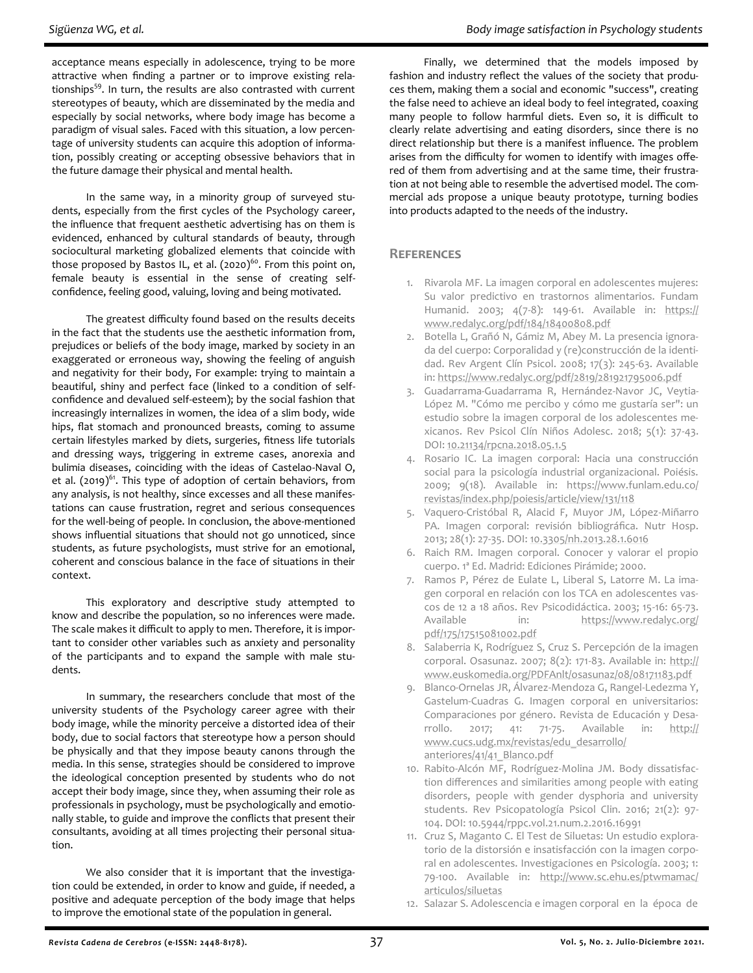acceptance means especially in adolescence, trying to be more attractive when finding a partner or to improve existing relationships<sup>59</sup>. In turn, the results are also contrasted with current stereotypes of beauty, which are disseminated by the media and especially by social networks, where body image has become a paradigm of visual sales. Faced with this situation, a low percentage of university students can acquire this adoption of information, possibly creating or accepting obsessive behaviors that in the future damage their physical and mental health.

In the same way, in a minority group of surveyed students, especially from the first cycles of the Psychology career, the influence that frequent aesthetic advertising has on them is evidenced, enhanced by cultural standards of beauty, through sociocultural marketing globalized elements that coincide with those proposed by Bastos IL, et al.  $(2020)^{60}$ . From this point on, female beauty is essential in the sense of creating selfconfidence, feeling good, valuing, loving and being motivated.

The greatest difficulty found based on the results deceits in the fact that the students use the aesthetic information from, prejudices or beliefs of the body image, marked by society in an exaggerated or erroneous way, showing the feeling of anguish and negativity for their body, For example: trying to maintain a beautiful, shiny and perfect face (linked to a condition of selfconfidence and devalued self-esteem); by the social fashion that increasingly internalizes in women, the idea of a slim body, wide hips, flat stomach and pronounced breasts, coming to assume certain lifestyles marked by diets, surgeries, fitness life tutorials and dressing ways, triggering in extreme cases, anorexia and bulimia diseases, coinciding with the ideas of Castelao-Naval O, et al. (2019) $^{61}$ . This type of adoption of certain behaviors, from any analysis, is not healthy, since excesses and all these manifestations can cause frustration, regret and serious consequences for the well-being of people. In conclusion, the above-mentioned shows influential situations that should not go unnoticed, since students, as future psychologists, must strive for an emotional, coherent and conscious balance in the face of situations in their context.

This exploratory and descriptive study attempted to know and describe the population, so no inferences were made. The scale makes it difficult to apply to men. Therefore, it is important to consider other variables such as anxiety and personality of the participants and to expand the sample with male students.

In summary, the researchers conclude that most of the university students of the Psychology career agree with their body image, while the minority perceive a distorted idea of their body, due to social factors that stereotype how a person should be physically and that they impose beauty canons through the media. In this sense, strategies should be considered to improve the ideological conception presented by students who do not accept their body image, since they, when assuming their role as professionals in psychology, must be psychologically and emotionally stable, to guide and improve the conflicts that present their consultants, avoiding at all times projecting their personal situation.

We also consider that it is important that the investigation could be extended, in order to know and guide, if needed, a positive and adequate perception of the body image that helps to improve the emotional state of the population in general.

Finally, we determined that the models imposed by fashion and industry reflect the values of the society that produces them, making them a social and economic "success", creating the false need to achieve an ideal body to feel integrated, coaxing many people to follow harmful diets. Even so, it is difficult to clearly relate advertising and eating disorders, since there is no direct relationship but there is a manifest influence. The problem arises from the difficulty for women to identify with images offered of them from advertising and at the same time, their frustration at not being able to resemble the advertised model. The commercial ads propose a unique beauty prototype, turning bodies into products adapted to the needs of the industry.

#### **References**

- 1. Rivarola MF. La imagen corporal en adolescentes mujeres: Su valor predictivo en trastornos alimentarios. Fundam Humanid. 2003; 4(7-8): 149-61. Available in: [https://](https://www.redalyc.org/pdf/184/18400808.pdf) [www.redalyc.org/pdf/184/18400808.pdf](https://www.redalyc.org/pdf/184/18400808.pdf)
- 2. Botella L, Grañó N, Gámiz M, Abey M. La presencia ignorada del cuerpo: Corporalidad y (re)construcción de la identidad. Rev Argent Clín Psicol. 2008; 17(3): 245-63. Available in:<https://www.redalyc.org/pdf/2819/281921795006.pdf>
- 3. Guadarrama-Guadarrama R, Hernández-Navor JC, Veytia-López M. "Cómo me percibo y cómo me gustaría ser": un estudio sobre la imagen corporal de los adolescentes mexicanos. Rev Psicol Clín Niños Adolesc. 2018; 5(1): 37-43. DOI: [10.21134/rpcna.2018.05.1.5](https://doi.org/10.21134/rpcna.2018.05.1.5)
- 4. Rosario IC. La imagen corporal: Hacia una construcción social para la psicología industrial organizacional. Poiésis. 2009; 9(18). Available in: [https://www.funlam.edu.co/](https://www.funlam.edu.co/revistas/index.php/poiesis/article/view/131/118) [revistas/index.php/poiesis/article/view/131/118](https://www.funlam.edu.co/revistas/index.php/poiesis/article/view/131/118)
- 5. Vaquero-Cristóbal R, Alacid F, Muyor JM, López-Miñarro PA. Imagen corporal: revisión bibliográfica. Nutr Hosp. 2013; 28(1): 27-35. DOI: [10.3305/nh.2013.28.1.6016](https://doi.org/10.3305/nh.2013.28.1.6016)
- 6. Raich RM. Imagen corporal. Conocer y valorar el propio cuerpo. 1ª Ed. Madrid: Ediciones Pirámide; 2000.
- 7. Ramos P, Pérez de Eulate L, Liberal S, Latorre M. La imagen corporal en relación con los TCA en adolescentes vascos de 12 a 18 años. Rev Psicodidáctica. 2003; 15-16: 65-73. Available in: [https://www.redalyc.org/](https://www.redalyc.org/pdf/175/17515081002.pdf) [pdf/175/17515081002.pdf](https://www.redalyc.org/pdf/175/17515081002.pdf)
- 8. Salaberria K, Rodríguez S, Cruz S. Percepción de la imagen corporal. Osasunaz. 2007; 8(2): 171-83. Available in: [http://](http://www.euskomedia.org/PDFAnlt/osasunaz/08/08171183.pdf) [www.euskomedia.org/PDFAnlt/osasunaz/08/08171183.pdf](http://www.euskomedia.org/PDFAnlt/osasunaz/08/08171183.pdf)
- 9. Blanco-Ornelas JR, Álvarez-Mendoza G, Rangel-Ledezma Y, Gastelum-Cuadras G. Imagen corporal en universitarios: Comparaciones por género. Revista de Educación y Desarrollo. 2017; 41: 71-75. Available in: [http://](http://www.cucs.udg.mx/revistas/edu_desarrollo/anteriores/41/41_Blanco.pdf) [www.cucs.udg.mx/revistas/edu\\_desarrollo/](http://www.cucs.udg.mx/revistas/edu_desarrollo/anteriores/41/41_Blanco.pdf) [anteriores/41/41\\_Blanco.pdf](http://www.cucs.udg.mx/revistas/edu_desarrollo/anteriores/41/41_Blanco.pdf)
- 10. Rabito-Alcón MF, Rodríguez-Molina JM. Body dissatisfaction differences and similarities among people with eating disorders, people with gender dysphoria and university students. Rev Psicopatología Psicol Clin. 2016; 21(2): 97- 104. DOI: [10.5944/rppc.vol.21.num.2.2016.16991](https://doi.org/10.5944/rppc.vol.21.num.2.2016.16991)
- 11. Cruz S, Maganto C. El Test de Siluetas: Un estudio exploratorio de la distorsión e insatisfacción con la imagen corporal en adolescentes. Investigaciones en Psicología. 2003; 1: 79-100. Available in: [http://www.sc.ehu.es/ptwmamac/](http://www.sc.ehu.es/ptwmamac/articulos/siluetas) [articulos/siluetas](http://www.sc.ehu.es/ptwmamac/articulos/siluetas)
- 12. Salazar S. Adolescencia e imagen corporal en la época de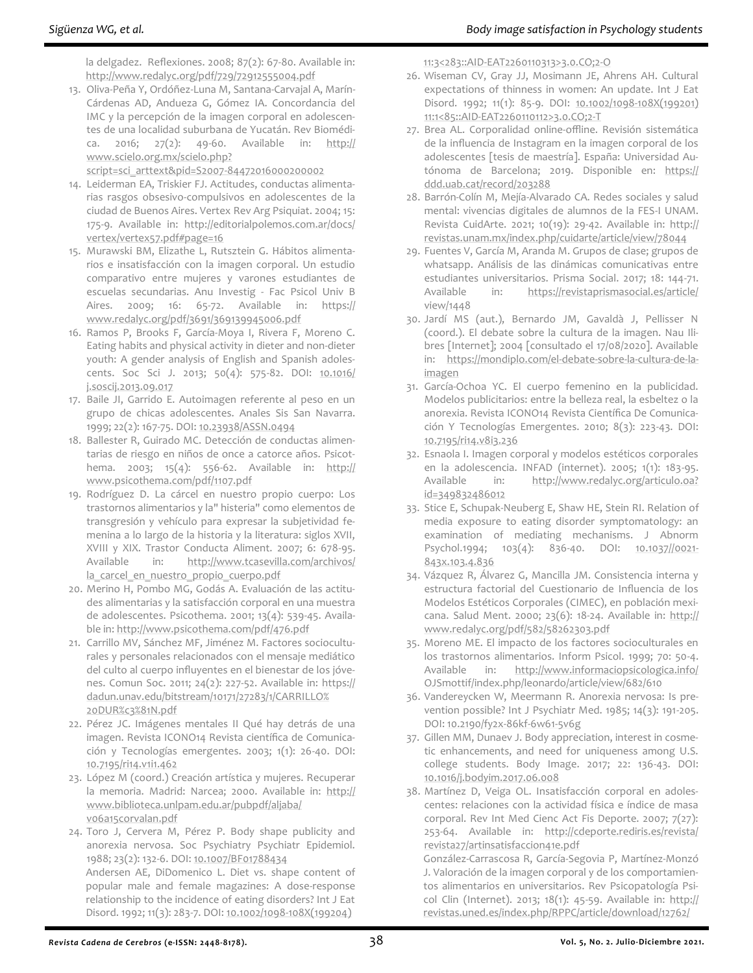la delgadez. Reflexiones. 2008; 87(2): 67-80. Available in: <http://www.redalyc.org/pdf/729/72912555004.pdf>

13. Oliva-Peña Y, Ordóñez-Luna M, Santana-Carvajal A, Marín-Cárdenas AD, Andueza G, Gómez IA. Concordancia del IMC y la percepción de la imagen corporal en adolescentes de una localidad suburbana de Yucatán. Rev Biomédica. 2016; 27(2): 49-60. Available in: [http://](http://www.scielo.org.mx/scielo.php?script=sci_arttext&pid=S2007-84472016000200002) [www.scielo.org.mx/scielo.php?](http://www.scielo.org.mx/scielo.php?script=sci_arttext&pid=S2007-84472016000200002)

[script=sci\\_arttext&pid=S2007](http://www.scielo.org.mx/scielo.php?script=sci_arttext&pid=S2007-84472016000200002)-84472016000200002

- 14. Leiderman EA, Triskier FJ. Actitudes, conductas alimentarias rasgos obsesivo-compulsivos en adolescentes de la ciudad de Buenos Aires. Vertex Rev Arg Psiquiat. 2004; 15: 175-9. Available in: [http://editorialpolemos.com.ar/docs/](http://editorialpolemos.com.ar/docs/vertex/vertex57.pdf#page=16) [vertex/vertex57.pdf#page=16](http://editorialpolemos.com.ar/docs/vertex/vertex57.pdf#page=16)
- 15. Murawski BM, Elizathe L, Rutsztein G. Hábitos alimentarios e insatisfacción con la imagen corporal. Un estudio comparativo entre mujeres y varones estudiantes de escuelas secundarias. Anu Investig - Fac Psicol Univ B Aires. 2009; 16: 65-72. Available in: [https://](https://www.redalyc.org/pdf/3691/369139945006.pdf) [www.redalyc.org/pdf/3691/369139945006.pdf](https://www.redalyc.org/pdf/3691/369139945006.pdf)
- 16. Ramos P, Brooks F, García-Moya I, Rivera F, Moreno C. Eating habits and physical activity in dieter and non-dieter youth: A gender analysis of English and Spanish adoles-cents. Soc Sci J. 2013; 50(4): 575-82. DOI: [10.1016/](https://doi.org/10.1016/j.soscij.2013.09.017) [j.soscij.2013.09.017](https://doi.org/10.1016/j.soscij.2013.09.017)
- 17. Baile JI, Garrido E. Autoimagen referente al peso en un grupo de chicas adolescentes. Anales Sis San Navarra. 1999; 22(2): 167-75. DOI: [10.23938/ASSN.0494](https://doi.org/10.23938/ASSN.0494)
- 18. Ballester R, Guirado MC. Detección de conductas alimentarias de riesgo en niños de once a catorce años. Psicothema. 2003; 15(4): 556-62. Available in: [http://](http://www.psicothema.com/pdf/1107.pdf) [www.psicothema.com/pdf/1107.pdf](http://www.psicothema.com/pdf/1107.pdf)
- 19. Rodríguez D. La cárcel en nuestro propio cuerpo: Los trastornos alimentarios y la" histeria" como elementos de transgresión y vehículo para expresar la subjetividad femenina a lo largo de la historia y la literatura: siglos XVII, XVIII y XIX. Trastor Conducta Aliment. 2007; 6: 678-95. Available in: [http://www.tcasevilla.com/archivos/](http://www.tcasevilla.com/archivos/la_carcel_en_nuestro_propio_cuerpo.pdf) la carcel en nuestro propio cuerpo.pdf
- 20. Merino H, Pombo MG, Godás A. Evaluación de las actitudes alimentarias y la satisfacción corporal en una muestra de adolescentes. Psicothema. 2001; 13(4): 539-45. Available in:<http://www.psicothema.com/pdf/476.pdf>
- 21. Carrillo MV, Sánchez MF, Jiménez M. Factores socioculturales y personales relacionados con el mensaje mediático del culto al cuerpo influyentes en el bienestar de los jóvenes. Comun Soc. 2011; 24(2): 227-52. Available in: [https://](https://dadun.unav.edu/bitstream/10171/27283/1/CARRILLO%20DUR%c3%81N.pdf) [dadun.unav.edu/bitstream/10171/27283/1/CARRILLO%](https://dadun.unav.edu/bitstream/10171/27283/1/CARRILLO%20DUR%c3%81N.pdf) [20DUR%c3%81N.pdf](https://dadun.unav.edu/bitstream/10171/27283/1/CARRILLO%20DUR%c3%81N.pdf)
- 22. Pérez JC. Imágenes mentales II Qué hay detrás de una imagen. Revista ICONO14 Revista científica de Comunicación y Tecnologías emergentes. 2003; 1(1): 26-40. DOI: [10.7195/ri14.v1i1.462](https://doi.org/10.7195/ri14.v1i1.462)
- 23. López M (coord.) Creación artística y mujeres. Recuperar la memoria. Madrid: Narcea; 2000. Available in: [http://](http://www.biblioteca.unlpam.edu.ar/pubpdf/aljaba/v06a15corvalan.pdf) [www.biblioteca.unlpam.edu.ar/pubpdf/aljaba/](http://www.biblioteca.unlpam.edu.ar/pubpdf/aljaba/v06a15corvalan.pdf) [v06a15corvalan.pdf](http://www.biblioteca.unlpam.edu.ar/pubpdf/aljaba/v06a15corvalan.pdf)
- 24. Toro J, Cervera M, Pérez P. Body shape publicity and anorexia nervosa. Soc Psychiatry Psychiatr Epidemiol. 1988; 23(2): 132-6. DOI: [10.1007/BF01788434](https://doi.org/10.1007/BF01788434)

Andersen AE, DiDomenico L. Diet vs. shape content of popular male and female magazines: A dose-response relationship to the incidence of eating disorders? Int J Eat Disord. 1992; 11(3): 283-7. DOI: 10.1002/1098-[108X\(199204\)](https://doi.org/10.1002/1098-108X(199204)11:3%3c283::AID-EAT2260110313%3e3.0.CO;2-O)

11:3<283::AID-[EAT2260110313>3.0.CO;2](https://doi.org/10.1002/1098-108X(199204)11:3%3c283::AID-EAT2260110313%3e3.0.CO;2-O)-O

- 26. Wiseman CV, Gray JJ, Mosimann JE, Ahrens AH. Cultural expectations of thinness in women: An update. Int J Eat Disord. 1992; 11(1): 85-9. DOI: 10.1002/1098-[108X\(199201\)](https://doi.org/10.1002/1098-108X(199201)11:1%3c85::AID-EAT2260110112%3e3.0.CO;2-T) 11:1<85::AID-[EAT2260110112>3.0.CO;2](https://doi.org/10.1002/1098-108X(199201)11:1%3c85::AID-EAT2260110112%3e3.0.CO;2-T)-T
- 27. Brea AL. Corporalidad online-offline. Revisión sistemática de la influencia de Instagram en la imagen corporal de los adolescentes [tesis de maestría]. España: Universidad Autónoma de Barcelona; 2019. Disponible en: [https://](https://ddd.uab.cat/record/203288) [ddd.uab.cat/record/203288](https://ddd.uab.cat/record/203288)
- 28. Barrón-Colín M, Mejía-Alvarado CA. Redes sociales y salud mental: vivencias digitales de alumnos de la FES-I UNAM. Revista CuidArte. 2021; 10(19): 29-42. Available in: [http://](http://revistas.unam.mx/index.php/cuidarte/article/view/78044) [revistas.unam.mx/index.php/cuidarte/article/view/78044](http://revistas.unam.mx/index.php/cuidarte/article/view/78044)
- 29. Fuentes V, García M, Aranda M. Grupos de clase; grupos de whatsapp. Análisis de las dinámicas comunicativas entre estudiantes universitarios. Prisma Social. 2017; 18: 144-71. Available in: [https://revistaprismasocial.es/article/](https://revistaprismasocial.es/article/view/1448) [view/1448](https://revistaprismasocial.es/article/view/1448)
- 30. Jardí MS (aut.), Bernardo JM, Gavaldà J, Pellisser N (coord.). El debate sobre la cultura de la imagen. Nau Ilibres [Internet]; 2004 [consultado el 17/08/2020]. Available in: [https://mondiplo.com/el](https://mondiplo.com/el-debate-sobre-la-cultura-de-la-imagen)-debate-sobre-la-cultura-de-la[imagen](https://mondiplo.com/el-debate-sobre-la-cultura-de-la-imagen)
- 31. García-Ochoa YC. El cuerpo femenino en la publicidad. Modelos publicitarios: entre la belleza real, la esbeltez o la anorexia. Revista ICONO14 Revista Científica De Comunicación Y Tecnologías Emergentes. 2010; 8(3): 223-43. DOI: [10.7195/ri14.v8i3.236](https://doi.org/10.7195/ri14.v8i3.236)
- 32. Esnaola I. Imagen corporal y modelos estéticos corporales en la adolescencia. INFAD (internet). 2005; 1(1): 183-95. Available in: [http://www.redalyc.org/articulo.oa?](http://www.redalyc.org/articulo.oa?id=349832486012) [id=349832486012](http://www.redalyc.org/articulo.oa?id=349832486012)
- 33. Stice E, Schupak-Neuberg E, Shaw HE, Stein RI. Relation of media exposure to eating disorder symptomatology: an examination of mediating mechanisms. J Abnorm Psychol.1994; 103(4): 836-40. DOI: [10.1037//0021](https://doi.org/10.1037/0021-843x.103.4.836)-[843x.103.4.836](https://doi.org/10.1037/0021-843x.103.4.836)
- 34. Vázquez R, Álvarez G, Mancilla JM. Consistencia interna y estructura factorial del Cuestionario de Influencia de los Modelos Estéticos Corporales (CIMEC), en población mexicana. Salud Ment. 2000; 23(6): 18-24. Available in: [http://](http://www.redalyc.org/pdf/582/58262303.pdf) [www.redalyc.org/pdf/582/58262303.pdf](http://www.redalyc.org/pdf/582/58262303.pdf)
- 35. Moreno ME. El impacto de los factores socioculturales en los trastornos alimentarios. Inform Psicol. 1999; 70: 50-4. Available in: [http://www.informaciopsicologica.info/](http://www.informaciopsicologica.info/OJSmottif/index.php/leonardo/article/view/682/610) [OJSmottif/index.php/leonardo/article/view/682/610](http://www.informaciopsicologica.info/OJSmottif/index.php/leonardo/article/view/682/610)
- 36. Vandereycken W, Meermann R. Anorexia nervosa: Is prevention possible? Int J Psychiatr Med. 1985; 14(3): 191-205. DOI: [10.2190/fy2x](https://doi.org/10.2190/fy2x-86kf-6w61-5v6g)-86kf-6w61-5v6g
- 37. Gillen MM, Dunaev J. Body appreciation, interest in cosmetic enhancements, and need for uniqueness among U.S. college students. Body Image. 2017; 22: 136-43. DOI: [10.1016/j.bodyim.2017.06.008](https://doi.org/10.1016/j.bodyim.2017.06.008)
- 38. Martínez D, Veiga OL. Insatisfacción corporal en adolescentes: relaciones con la actividad física e índice de masa corporal. Rev Int Med Cienc Act Fis Deporte. 2007; 7(27): 253-64. Available in: [http://cdeporte.rediris.es/revista/](http://cdeporte.rediris.es/revista/revista27/artinsatisfaccion41e.pdf) [revista27/artinsatisfaccion41e.pdf](http://cdeporte.rediris.es/revista/revista27/artinsatisfaccion41e.pdf)

González-Carrascosa R, García-Segovia P, Martínez-Monzó J. Valoración de la imagen corporal y de los comportamientos alimentarios en universitarios. Rev Psicopatología Psicol Clin (Internet). 2013; 18(1): 45-59. Available in: [http://](http://revistas.uned.es/index.php/RPPC/article/download/12762/11897) [revistas.uned.es/index.php/RPPC/article/download/12762/](http://revistas.uned.es/index.php/RPPC/article/download/12762/11897)